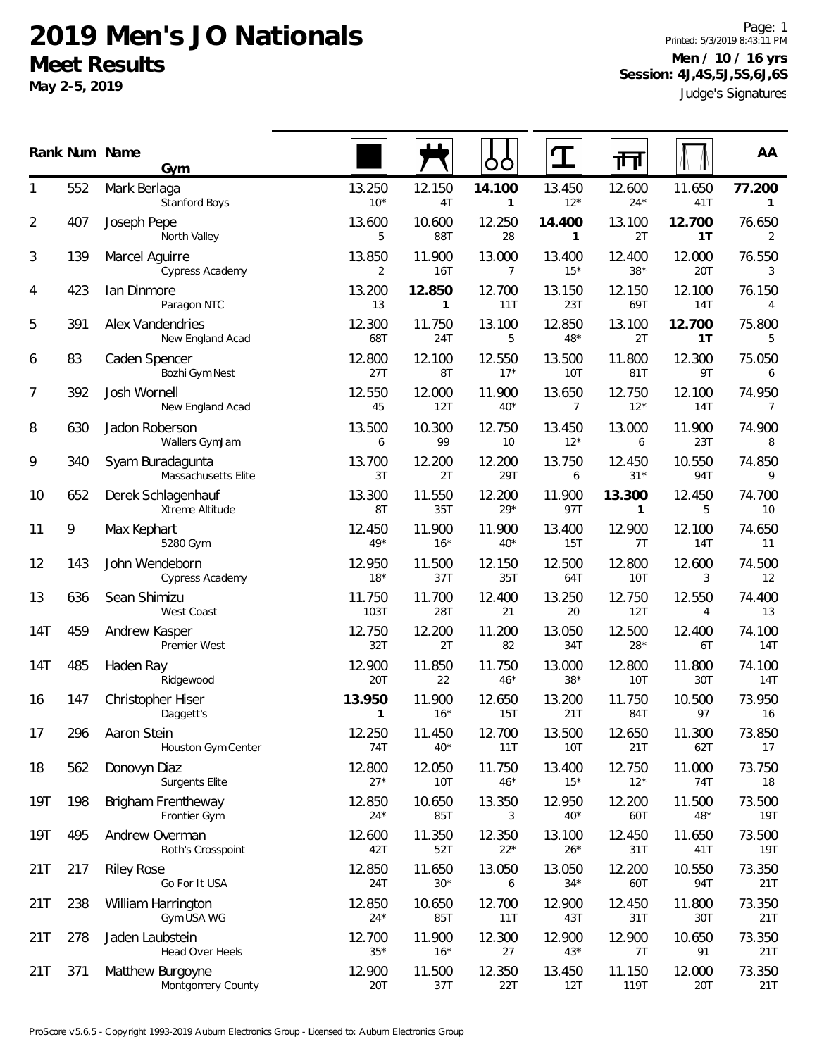**May 2-5, 2019**

Judge's Signatures Page: 1 Printed: 5/3/2019 8:43:11 PM **Men / 10 / 16 yrs Session: 4J,4S,5J,5S,6J,6S**

|     |     | Rank Num Name<br>Gym                        |                          |                        |                          |                 |                 |                      | AA                     |
|-----|-----|---------------------------------------------|--------------------------|------------------------|--------------------------|-----------------|-----------------|----------------------|------------------------|
| 1   | 552 | Mark Berlaga<br><b>Stanford Boys</b>        | 13.250<br>$10*$          | 12.150<br>4T           | 14.100<br>$\mathbf{1}$   | 13.450<br>$12*$ | 12.600<br>$24*$ | 11.650<br>41T        | 77.200<br>$\mathbf{1}$ |
| 2   | 407 | Joseph Pepe<br>North Valley                 | 13.600<br>5              | 10.600<br>88T          | 12.250<br>28             | 14.400<br>1     | 13.100<br>2T    | 12.700<br>1T         | 76.650<br>2            |
| 3   | 139 | Marcel Aguirre<br><b>Cypress Academy</b>    | 13.850<br>$\overline{2}$ | 11.900<br>16T          | 13.000<br>$\overline{7}$ | 13.400<br>$15*$ | 12.400<br>$38*$ | 12.000<br>20T        | 76.550<br>3            |
| 4   | 423 | lan Dinmore<br>Paragon NTC                  | 13.200<br>13             | 12.850<br>$\mathbf{1}$ | 12.700<br>11T            | 13.150<br>23T   | 12.150<br>69T   | 12.100<br><b>14T</b> | 76.150<br>4            |
| 5   | 391 | <b>Alex Vandendries</b><br>New England Acad | 12.300<br>68T            | 11.750<br>24T          | 13.100<br>5              | 12.850<br>$48*$ | 13.100<br>2T    | 12.700<br>1T         | 75.800<br>5            |
| 6   | 83  | Caden Spencer<br>Bozhi Gym Nest             | 12.800<br>27T            | 12.100<br>8T           | 12.550<br>$17*$          | 13.500<br>10T   | 11.800<br>81T   | 12.300<br>9T         | 75.050<br>6            |
| 7   | 392 | Josh Wornell<br>New England Acad            | 12.550<br>45             | 12.000<br>12T          | 11.900<br>$40*$          | 13.650<br>7     | 12.750<br>$12*$ | 12.100<br><b>14T</b> | 74.950<br>7            |
| 8   | 630 | Jadon Roberson<br>Wallers GymJam            | 13.500<br>6              | 10.300<br>99           | 12.750<br>10             | 13.450<br>$12*$ | 13.000<br>6     | 11.900<br>23T        | 74.900<br>8            |
| 9   | 340 | Syam Buradagunta<br>Massachusetts Elite     | 13.700<br>3T             | 12.200<br>2T           | 12.200<br>29T            | 13.750<br>6     | 12.450<br>$31*$ | 10.550<br><b>94T</b> | 74.850<br>9            |
| 10  | 652 | Derek Schlagenhauf<br>Xtreme Altitude       | 13.300<br>8T             | 11.550<br>35T          | 12.200<br>$29*$          | 11.900<br>97T   | 13.300<br>1     | 12.450<br>5          | 74.700<br>10           |
| 11  | 9   | Max Kephart<br>5280 Gym                     | 12.450<br>$49*$          | 11.900<br>$16*$        | 11.900<br>$40*$          | 13.400<br>15T   | 12.900<br>7T    | 12.100<br>14T        | 74.650<br>11           |
| 12  | 143 | John Wendeborn<br>Cypress Academy           | 12.950<br>$18*$          | 11.500<br>37T          | 12.150<br>35T            | 12.500<br>64T   | 12.800<br>10T   | 12.600<br>3          | 74.500<br>12           |
| 13  | 636 | Sean Shimizu<br>West Coast                  | 11.750<br>103T           | 11.700<br>28T          | 12.400<br>21             | 13.250<br>20    | 12.750<br>12T   | 12.550<br>4          | 74.400<br>13           |
| 14T | 459 | Andrew Kasper<br>Premier West               | 12.750<br>32T            | 12.200<br>2T           | 11.200<br>82             | 13.050<br>34T   | 12.500<br>$28*$ | 12.400<br>6T         | 74.100<br>14T          |
| 14T | 485 | Haden Ray<br>Ridgewood                      | 12.900<br>20T            | 11.850<br>22           | 11.750<br>$46*$          | 13.000<br>$38*$ | 12.800<br>10T   | 11.800<br>30T        | 74.100<br>14T          |
| 16  | 147 | Christopher Hiser<br>Daggett's              | 13.950<br>1              | 11.900<br>$16*$        | 12.650<br>15T            | 13.200<br>21T   | 11.750<br>84T   | 10.500<br>97         | 73.950<br>16           |
| 17  | 296 | Aaron Stein<br>Houston Gym Center           | 12.250<br>74T            | 11.450<br>$40*$        | 12.700<br>11T            | 13.500<br>10T   | 12.650<br>21T   | 11.300<br>62T        | 73.850<br>17           |
| 18  | 562 | Donovyn Diaz<br><b>Surgents Elite</b>       | 12.800<br>$27*$          | 12.050<br>10T          | 11.750<br>$46*$          | 13.400<br>$15*$ | 12.750<br>$12*$ | 11.000<br>74T        | 73.750<br>18           |
| 19T | 198 | Brigham Frentheway<br>Frontier Gym          | 12.850<br>$24*$          | 10.650<br>85T          | 13.350<br>3              | 12.950<br>$40*$ | 12.200<br>60T   | 11.500<br>$48*$      | 73.500<br>19T          |
| 19T | 495 | Andrew Overman<br>Roth's Crosspoint         | 12.600<br>42T            | 11.350<br>52T          | 12.350<br>$22*$          | 13.100<br>$26*$ | 12.450<br>31T   | 11.650<br>41T        | 73.500<br><b>19T</b>   |
| 21T | 217 | <b>Riley Rose</b><br>Go For It USA          | 12.850<br>24T            | 11.650<br>$30*$        | 13.050<br>6              | 13.050<br>$34*$ | 12.200<br>60T   | 10.550<br>94T        | 73.350<br>21T          |
| 21T | 238 | William Harrington<br>Gym USA WG            | 12.850<br>$24*$          | 10.650<br>85T          | 12.700<br>11T            | 12.900<br>43T   | 12.450<br>31T   | 11.800<br>30T        | 73.350<br>21T          |
| 21T | 278 | Jaden Laubstein<br>Head Over Heels          | 12.700<br>$35*$          | 11.900<br>$16*$        | 12.300<br>27             | 12.900<br>$43*$ | 12.900<br>7T    | 10.650<br>91         | 73.350<br>21T          |
| 21T | 371 | Matthew Burgoyne<br>Montgomery County       | 12.900<br>20T            | 11.500<br>37T          | 12.350<br>22T            | 13.450<br>12T   | 11.150<br>119T  | 12.000<br>20T        | 73.350<br>21T          |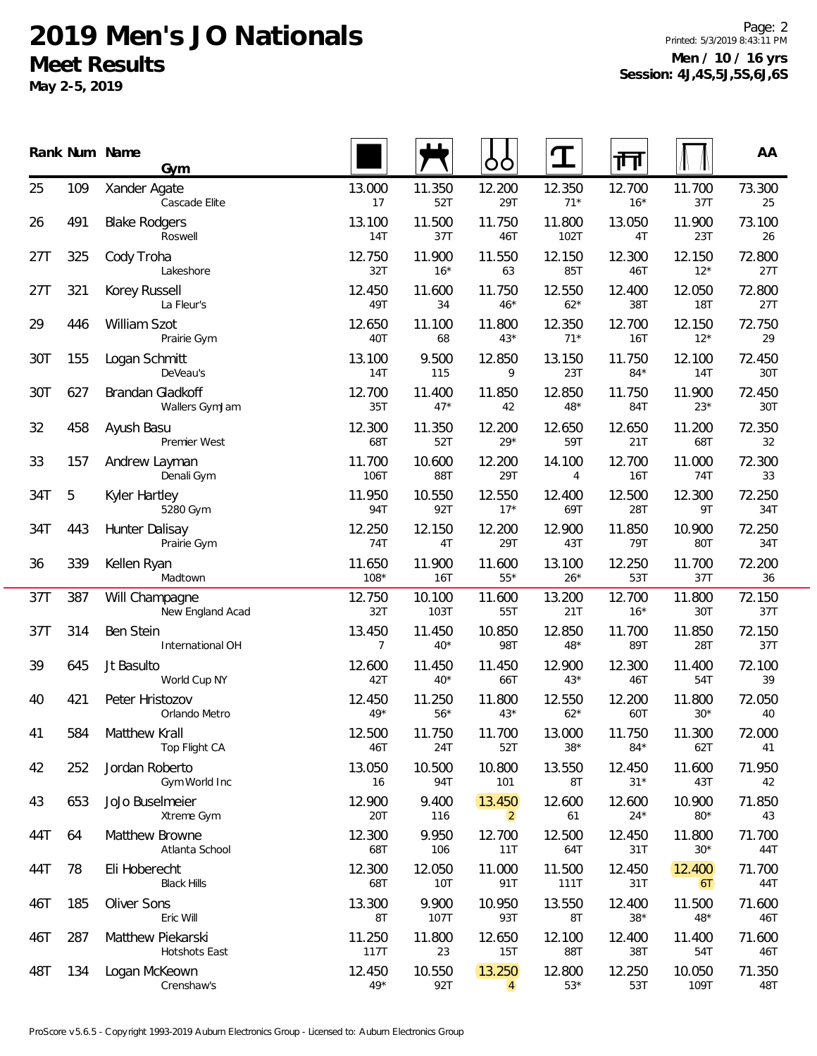**May 2-5, 2019**

Page: 2 Printed: 5/3/2019 8:43:11 PM **Men / 10 / 16 yrs Session: 4J,4S,5J,5S,6J,6S**

|     |     | Rank Num Name<br>Gym                |                          |                 | O<br>O                   |                 | 襾               |                      | AA            |
|-----|-----|-------------------------------------|--------------------------|-----------------|--------------------------|-----------------|-----------------|----------------------|---------------|
| 25  | 109 | Xander Agate<br>Cascade Elite       | 13.000<br>17             | 11.350<br>52T   | 12.200<br>29T            | 12.350<br>$71*$ | 12.700<br>$16*$ | 11.700<br>37T        | 73.300<br>25  |
| 26  | 491 | <b>Blake Rodgers</b><br>Roswell     | 13.100<br>14T            | 11.500<br>37T   | 11.750<br>46T            | 11.800<br>102T  | 13.050<br>4T    | 11.900<br>23T        | 73.100<br>26  |
| 27T | 325 | Cody Troha<br>Lakeshore             | 12.750<br>32T            | 11.900<br>$16*$ | 11.550<br>63             | 12.150<br>85T   | 12.300<br>46T   | 12.150<br>$12*$      | 72.800<br>27T |
| 27T | 321 | Korey Russell<br>La Fleur's         | 12.450<br>49T            | 11.600<br>34    | 11.750<br>$46*$          | 12.550<br>$62*$ | 12.400<br>38T   | 12.050<br><b>18T</b> | 72.800<br>27T |
| 29  | 446 | William Szot<br>Prairie Gym         | 12.650<br>40T            | 11.100<br>68    | 11.800<br>$43*$          | 12.350<br>$71*$ | 12.700<br>16T   | 12.150<br>$12*$      | 72.750<br>29  |
| 30T | 155 | Logan Schmitt<br>DeVeau's           | 13.100<br>14T            | 9.500<br>115    | 12.850<br>9              | 13.150<br>23T   | 11.750<br>$84*$ | 12.100<br>14T        | 72.450<br>30T |
| 30T | 627 | Brandan Gladkoff<br>Wallers GymJam  | 12.700<br>35T            | 11.400<br>$47*$ | 11.850<br>42             | 12.850<br>$48*$ | 11.750<br>84T   | 11.900<br>$23*$      | 72.450<br>30T |
| 32  | 458 | Ayush Basu<br>Premier West          | 12.300<br>68T            | 11.350<br>52T   | 12.200<br>$29*$          | 12.650<br>59T   | 12.650<br>21T   | 11.200<br>68T        | 72.350<br>32  |
| 33  | 157 | Andrew Layman<br>Denali Gym         | 11.700<br>106T           | 10.600<br>88T   | 12.200<br>29T            | 14.100<br>4     | 12.700<br>16T   | 11.000<br>74T        | 72.300<br>33  |
| 34T | 5   | Kyler Hartley<br>5280 Gym           | 11.950<br>94T            | 10.550<br>92T   | 12.550<br>$17*$          | 12.400<br>69T   | 12.500<br>28T   | 12.300<br>9T         | 72.250<br>34T |
| 34T | 443 | Hunter Dalisay<br>Prairie Gym       | 12.250<br>74T            | 12.150<br>4T    | 12.200<br>29T            | 12.900<br>43T   | 11.850<br>79T   | 10.900<br>80T        | 72.250<br>34T |
| 36  | 339 | Kellen Ryan<br>Madtown              | 11.650<br>$108*$         | 11.900<br>16T   | 11.600<br>$55*$          | 13.100<br>$26*$ | 12.250<br>53T   | 11.700<br>37T        | 72.200<br>36  |
| 37T | 387 | Will Champagne<br>New England Acad  | 12.750<br>32T            | 10.100<br>103T  | 11.600<br>55T            | 13.200<br>21T   | 12.700<br>$16*$ | 11.800<br>30T        | 72.150<br>37T |
| 37T | 314 | Ben Stein<br>International OH       | 13.450<br>$\overline{7}$ | 11.450<br>$40*$ | 10.850<br>98T            | 12.850<br>48*   | 11.700<br>89T   | 11.850<br>28T        | 72.150<br>37T |
| 39  | 645 | Jt Basulto<br>World Cup NY          | 12.600<br>42T            | 11.450<br>$40*$ | 11.450<br>66T            | 12.900<br>$43*$ | 12.300<br>46T   | 11.400<br>54T        | 72.100<br>39  |
| 40  | 421 | Peter Hristozov<br>Orlando Metro    | 12.450<br>$49*$          | 11.250<br>$56*$ | 11.800<br>$43*$          | 12.550<br>$62*$ | 12.200<br>60T   | 11.800<br>$30*$      | 72.050<br>40  |
| 41  | 584 | Matthew Krall<br>Top Flight CA      | 12.500<br>46T            | 11.750<br>24T   | 11.700<br>52T            | 13.000<br>$38*$ | 11.750<br>$84*$ | 11.300<br>62T        | 72.000<br>41  |
| 42  | 252 | Jordan Roberto<br>Gym World Inc     | 13.050<br>16             | 10.500<br>94T   | 10.800<br>101            | 13.550<br>8T    | 12.450<br>$31*$ | 11.600<br>43T        | 71.950<br>42  |
| 43  | 653 | JoJo Buselmeier<br>Xtreme Gym       | 12.900<br>20T            | 9.400<br>116    | 13.450<br>$\overline{2}$ | 12.600<br>61    | 12.600<br>$24*$ | 10.900<br>$80*$      | 71.850<br>43  |
| 44T | 64  | Matthew Browne<br>Atlanta School    | 12.300<br>68T            | 9.950<br>106    | 12.700<br>11T            | 12.500<br>64T   | 12.450<br>31T   | 11.800<br>$30*$      | 71.700<br>44T |
| 44T | 78  | Eli Hoberecht<br><b>Black Hills</b> | 12.300<br>68T            | 12.050<br>10T   | 11.000<br>91T            | 11.500<br>111T  | 12.450<br>31T   | 12.400<br>6T         | 71.700<br>44T |
| 46T | 185 | Oliver Sons<br>Eric Will            | 13.300<br>8T             | 9.900<br>107T   | 10.950<br>93T            | 13.550<br>8T    | 12.400<br>$38*$ | 11.500<br>48*        | 71.600<br>46T |
| 46T | 287 | Matthew Piekarski<br>Hotshots East  | 11.250<br>117T           | 11.800<br>23    | 12.650<br>15T            | 12.100<br>88T   | 12.400<br>38T   | 11.400<br>54T        | 71.600<br>46T |
| 48T | 134 | Logan McKeown<br>Crenshaw's         | 12.450<br>$49*$          | 10.550<br>92T   | 13.250<br>$\overline{4}$ | 12.800<br>$53*$ | 12.250<br>53T   | 10.050<br>109T       | 71.350<br>48T |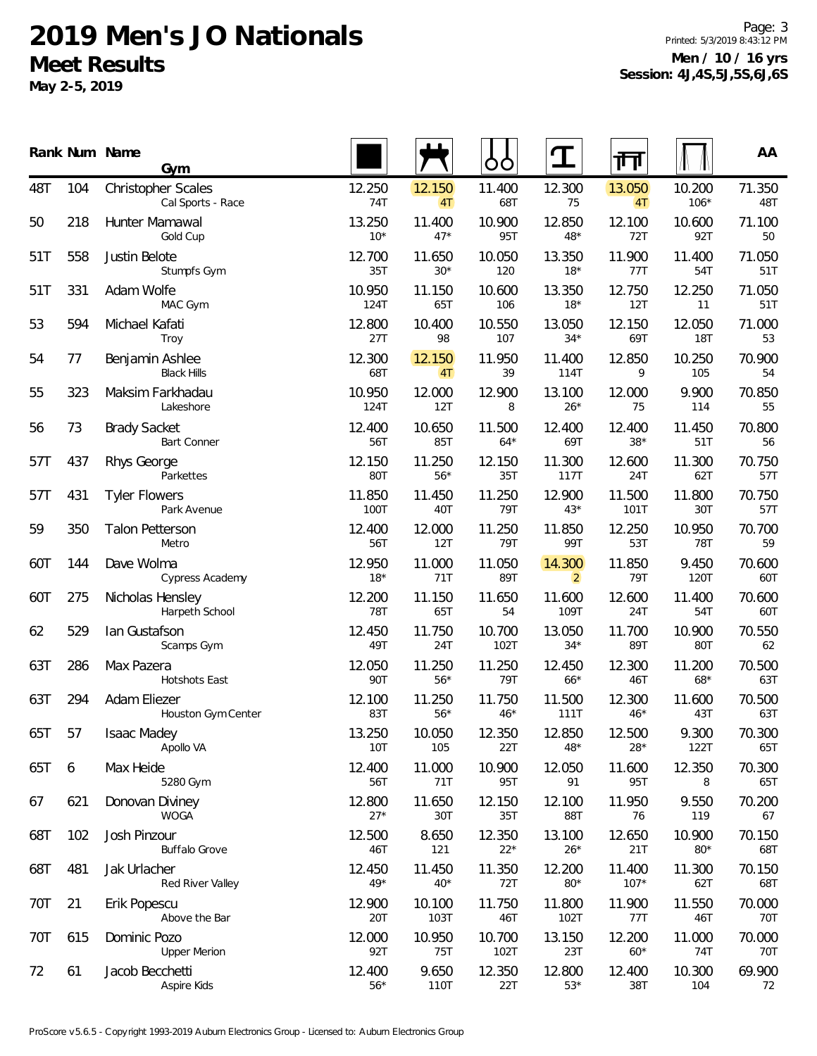**May 2-5, 2019**

Page: 3 Printed: 5/3/2019 8:43:12 PM **Men / 10 / 16 yrs Session: 4J,4S,5J,5S,6J,6S**

|     |     | Rank Num Name<br>Gym                      |                 |                 | OO              |                          | गंग              |                      | AA            |
|-----|-----|-------------------------------------------|-----------------|-----------------|-----------------|--------------------------|------------------|----------------------|---------------|
| 48T | 104 | Christopher Scales<br>Cal Sports - Race   | 12.250<br>74T   | 12.150<br>4T    | 11.400<br>68T   | 12.300<br>75             | 13.050<br>4T     | 10.200<br>$106*$     | 71.350<br>48T |
| 50  | 218 | Hunter Mamawal<br>Gold Cup                | 13.250<br>$10*$ | 11.400<br>$47*$ | 10.900<br>95T   | 12.850<br>48*            | 12.100<br>72T    | 10.600<br>92T        | 71.100<br>50  |
| 51T | 558 | Justin Belote<br>Stumpfs Gym              | 12.700<br>35T   | 11.650<br>$30*$ | 10.050<br>120   | 13.350<br>$18*$          | 11.900<br>77T    | 11.400<br>54T        | 71.050<br>51T |
| 51T | 331 | Adam Wolfe<br>MAC Gym                     | 10.950<br>124T  | 11.150<br>65T   | 10.600<br>106   | 13.350<br>$18*$          | 12.750<br>12T    | 12.250<br>11         | 71.050<br>51T |
| 53  | 594 | Michael Kafati<br>Troy                    | 12.800<br>27T   | 10.400<br>98    | 10.550<br>107   | 13.050<br>$34*$          | 12.150<br>69T    | 12.050<br><b>18T</b> | 71.000<br>53  |
| 54  | 77  | Benjamin Ashlee<br><b>Black Hills</b>     | 12.300<br>68T   | 12.150<br>4T    | 11.950<br>39    | 11.400<br>114T           | 12.850<br>9      | 10.250<br>105        | 70.900<br>54  |
| 55  | 323 | Maksim Farkhadau<br>Lakeshore             | 10.950<br>124T  | 12.000<br>12T   | 12.900<br>8     | 13.100<br>$26*$          | 12.000<br>75     | 9.900<br>114         | 70.850<br>55  |
| 56  | 73  | <b>Brady Sacket</b><br><b>Bart Conner</b> | 12.400<br>56T   | 10.650<br>85T   | 11.500<br>$64*$ | 12.400<br>69T            | 12.400<br>$38*$  | 11.450<br>51T        | 70.800<br>56  |
| 57T | 437 | Rhys George<br>Parkettes                  | 12.150<br>80T   | 11.250<br>$56*$ | 12.150<br>35T   | 11.300<br>117T           | 12.600<br>24T    | 11.300<br>62T        | 70.750<br>57T |
| 57T | 431 | <b>Tyler Flowers</b><br>Park Avenue       | 11.850<br>100T  | 11.450<br>40T   | 11.250<br>79T   | 12.900<br>$43*$          | 11.500<br>101T   | 11.800<br>30T        | 70.750<br>57T |
| 59  | 350 | <b>Talon Petterson</b><br>Metro           | 12.400<br>56T   | 12.000<br>12T   | 11.250<br>79T   | 11.850<br>99T            | 12.250<br>53T    | 10.950<br><b>78T</b> | 70.700<br>59  |
| 60T | 144 | Dave Wolma<br>Cypress Academy             | 12.950<br>$18*$ | 11.000<br>71T   | 11.050<br>89T   | 14.300<br>$\overline{2}$ | 11.850<br>79T    | 9.450<br>120T        | 70.600<br>60T |
| 60T | 275 | Nicholas Hensley<br>Harpeth School        | 12.200<br>78T   | 11.150<br>65T   | 11.650<br>54    | 11.600<br>109T           | 12.600<br>24T    | 11.400<br>54T        | 70.600<br>60T |
| 62  | 529 | lan Gustafson<br>Scamps Gym               | 12.450<br>49T   | 11.750<br>24T   | 10.700<br>102T  | 13.050<br>$34*$          | 11.700<br>89T    | 10.900<br>80T        | 70.550<br>62  |
| 63T | 286 | Max Pazera<br>Hotshots East               | 12.050<br>90T   | 11.250<br>$56*$ | 11.250<br>79T   | 12.450<br>$66*$          | 12.300<br>46T    | 11.200<br>$68*$      | 70.500<br>63T |
| 63T | 294 | Adam Eliezer<br>Houston Gym Center        | 12.100<br>83T   | 11.250<br>$56*$ | 11.750<br>$46*$ | 11.500<br>111T           | 12.300<br>$46*$  | 11.600<br>43T        | 70.500<br>63T |
| 65T | 57  | Isaac Madey<br>Apollo VA                  | 13.250<br>10T   | 10.050<br>105   | 12.350<br>22T   | 12.850<br>$48*$          | 12.500<br>$28*$  | 9.300<br>122T        | 70.300<br>65T |
| 65T | 6   | Max Heide<br>5280 Gym                     | 12.400<br>56T   | 11.000<br>71T   | 10.900<br>95T   | 12.050<br>91             | 11.600<br>95T    | 12.350<br>8          | 70.300<br>65T |
| 67  | 621 | Donovan Diviney<br><b>WOGA</b>            | 12.800<br>$27*$ | 11.650<br>30T   | 12.150<br>35T   | 12.100<br>88T            | 11.950<br>76     | 9.550<br>119         | 70.200<br>67  |
| 68T | 102 | Josh Pinzour<br><b>Buffalo Grove</b>      | 12.500<br>46T   | 8.650<br>121    | 12.350<br>$22*$ | 13.100<br>$26*$          | 12.650<br>21T    | 10.900<br>$80*$      | 70.150<br>68T |
| 68T | 481 | Jak Urlacher<br>Red River Valley          | 12.450<br>$49*$ | 11.450<br>$40*$ | 11.350<br>72T   | 12.200<br>$80*$          | 11.400<br>$107*$ | 11.300<br>62T        | 70.150<br>68T |
| 70T | 21  | Erik Popescu<br>Above the Bar             | 12.900<br>20T   | 10.100<br>103T  | 11.750<br>46T   | 11.800<br>102T           | 11.900<br>77T    | 11.550<br>46T        | 70.000<br>70T |
| 70T | 615 | Dominic Pozo<br><b>Upper Merion</b>       | 12.000<br>92T   | 10.950<br>75T   | 10.700<br>102T  | 13.150<br>23T            | 12.200<br>$60*$  | 11.000<br>74T        | 70.000<br>70T |
| 72  | 61  | Jacob Becchetti<br>Aspire Kids            | 12.400<br>$56*$ | 9.650<br>110T   | 12.350<br>22T   | 12.800<br>$53*$          | 12.400<br>38T    | 10.300<br>104        | 69.900<br>72  |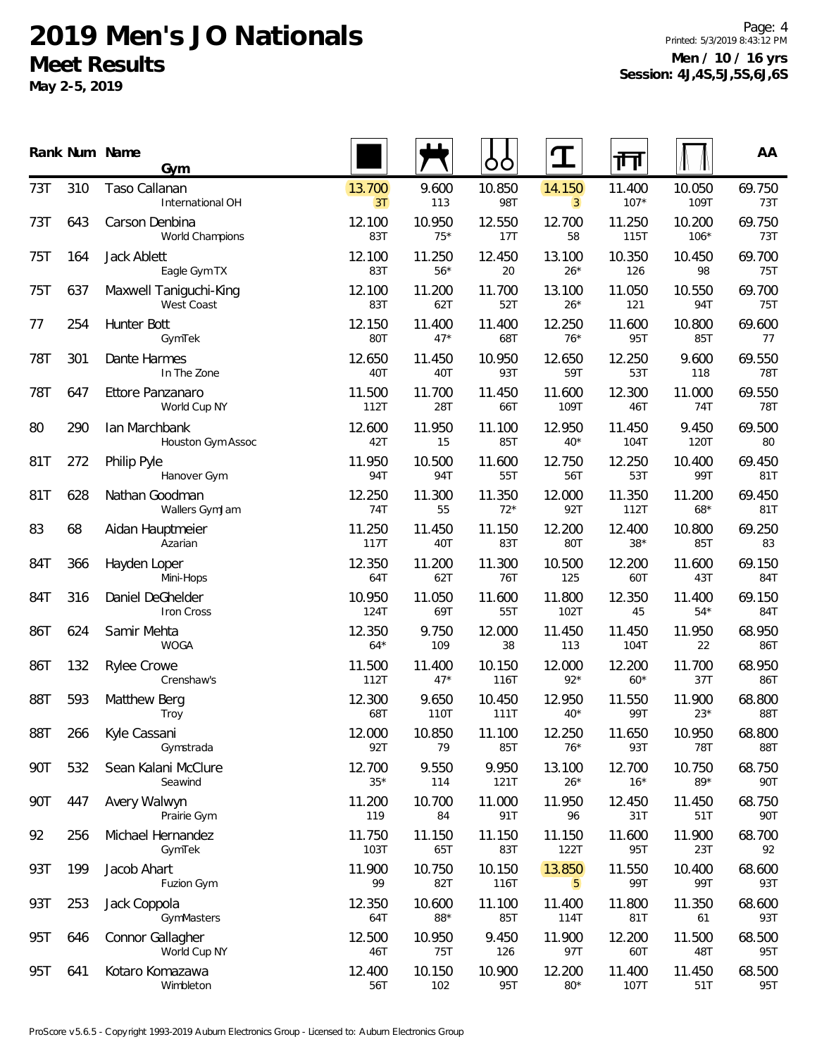**May 2-5, 2019**

Page: 4 Printed: 5/3/2019 8:43:12 PM **Men / 10 / 16 yrs Session: 4J,4S,5J,5S,6J,6S**

|     |     | Rank Num Name<br>Gym                 |                       |                      |                      |                          | ╓╜               |                  | AA            |
|-----|-----|--------------------------------------|-----------------------|----------------------|----------------------|--------------------------|------------------|------------------|---------------|
| 73T | 310 | Taso Callanan<br>International OH    | 13.700<br>3T          | 9.600<br>113         | 10.850<br><b>98T</b> | 14.150<br>$\overline{3}$ | 11.400<br>$107*$ | 10.050<br>109T   | 69.750<br>73T |
| 73T | 643 | Carson Denbina<br>World Champions    | 12.100<br>83T         | 10.950<br>$75*$      | 12.550<br>17T        | 12.700<br>58             | 11.250<br>115T   | 10.200<br>$106*$ | 69.750<br>73T |
| 75T | 164 | Jack Ablett<br>Eagle Gym TX          | 12.100<br>83T         | 11.250<br>$56*$      | 12.450<br>20         | 13.100<br>$26*$          | 10.350<br>126    | 10.450<br>98     | 69.700<br>75T |
| 75T | 637 | Maxwell Taniguchi-King<br>West Coast | 12.100<br>83T         | 11.200<br>62T        | 11.700<br>52T        | 13.100<br>$26*$          | 11.050<br>121    | 10.550<br>94T    | 69.700<br>75T |
| 77  | 254 | Hunter Bott<br>GymTek                | 12.150<br>80T         | 11.400<br>$47*$      | 11.400<br>68T        | 12.250<br>$76*$          | 11.600<br>95T    | 10.800<br>85T    | 69.600<br>77  |
| 78T | 301 | Dante Harmes<br>In The Zone          | 12.650<br>40T         | 11.450<br>40T        | 10.950<br>93T        | 12.650<br>59T            | 12.250<br>53T    | 9.600<br>118     | 69.550<br>78T |
| 78T | 647 | Ettore Panzanaro<br>World Cup NY     | 11.500<br>112T        | 11.700<br>28T        | 11.450<br>66T        | 11.600<br>109T           | 12.300<br>46T    | 11.000<br>74T    | 69.550<br>78T |
| 80  | 290 | Ian Marchbank<br>Houston Gym Assoc   | 12.600<br>42T         | 11.950<br>15         | 11.100<br>85T        | 12.950<br>$40*$          | 11.450<br>104T   | 9.450<br>120T    | 69.500<br>80  |
| 81T | 272 | Philip Pyle<br>Hanover Gym           | 11.950<br>94T         | 10.500<br><b>94T</b> | 11.600<br>55T        | 12.750<br>56T            | 12.250<br>53T    | 10.400<br>99T    | 69.450<br>81T |
| 81T | 628 | Nathan Goodman<br>Wallers GymJam     | 12.250<br>74T         | 11.300<br>55         | 11.350<br>$72*$      | 12.000<br>92T            | 11.350<br>112T   | 11.200<br>$68*$  | 69.450<br>81T |
| 83  | 68  | Aidan Hauptmeier<br>Azarian          | 11.250<br><b>117T</b> | 11.450<br>40T        | 11.150<br>83T        | 12.200<br>80T            | 12.400<br>$38*$  | 10.800<br>85T    | 69.250<br>83  |
| 84T | 366 | Hayden Loper<br>Mini-Hops            | 12.350<br>64T         | 11.200<br>62T        | 11.300<br>76T        | 10.500<br>125            | 12.200<br>60T    | 11.600<br>43T    | 69.150<br>84T |
| 84T | 316 | Daniel DeGhelder<br>Iron Cross       | 10.950<br>124T        | 11.050<br>69T        | 11.600<br>55T        | 11.800<br>102T           | 12.350<br>45     | 11.400<br>$54*$  | 69.150<br>84T |
| 86T | 624 | Samir Mehta<br><b>WOGA</b>           | 12.350<br>$64*$       | 9.750<br>109         | 12.000<br>38         | 11.450<br>113            | 11.450<br>104T   | 11.950<br>22     | 68.950<br>86T |
| 86T | 132 | <b>Rylee Crowe</b><br>Crenshaw's     | 11.500<br>112T        | 11.400<br>$47*$      | 10.150<br>116T       | 12.000<br>$92*$          | 12.200<br>$60*$  | 11.700<br>37T    | 68.950<br>86T |
| 88T | 593 | Matthew Berg<br>Troy                 | 12.300<br>68T         | 9.650<br>110T        | 10.450<br>111T       | 12.950<br>$40*$          | 11.550<br>99T    | 11.900<br>$23*$  | 68.800<br>88T |
| 88T | 266 | Kyle Cassani<br>Gymstrada            | 12.000<br>92T         | 10.850<br>79         | 11.100<br>85T        | 12.250<br>$76*$          | 11.650<br>93T    | 10.950<br>78T    | 68.800<br>88T |
| 90T | 532 | Sean Kalani McClure<br>Seawind       | 12.700<br>$35*$       | 9.550<br>114         | 9.950<br>121T        | 13.100<br>$26*$          | 12.700<br>$16*$  | 10.750<br>89*    | 68.750<br>90T |
| 90T | 447 | Avery Walwyn<br>Prairie Gym          | 11.200<br>119         | 10.700<br>84         | 11.000<br>91T        | 11.950<br>96             | 12.450<br>31T    | 11.450<br>51T    | 68.750<br>90T |
| 92  | 256 | Michael Hernandez<br>GymTek          | 11.750<br>103T        | 11.150<br>65T        | 11.150<br>83T        | 11.150<br>122T           | 11.600<br>95T    | 11.900<br>23T    | 68.700<br>92  |
| 93T | 199 | Jacob Ahart<br>Fuzion Gym            | 11.900<br>99          | 10.750<br>82T        | 10.150<br>116T       | 13.850<br>5 <sub>5</sub> | 11.550<br>99T    | 10.400<br>99T    | 68.600<br>93T |
| 93T | 253 | Jack Coppola<br>GymMasters           | 12.350<br>64T         | 10.600<br>88*        | 11.100<br>85T        | 11.400<br>114T           | 11.800<br>81T    | 11.350<br>61     | 68.600<br>93T |
| 95T | 646 | Connor Gallagher<br>World Cup NY     | 12.500<br>46T         | 10.950<br>75T        | 9.450<br>126         | 11.900<br>97T            | 12.200<br>60T    | 11.500<br>48T    | 68.500<br>95T |
| 95T | 641 | Kotaro Komazawa<br>Wimbleton         | 12.400<br>56T         | 10.150<br>102        | 10.900<br>95T        | 12.200<br>$80*$          | 11.400<br>107T   | 11.450<br>51T    | 68.500<br>95T |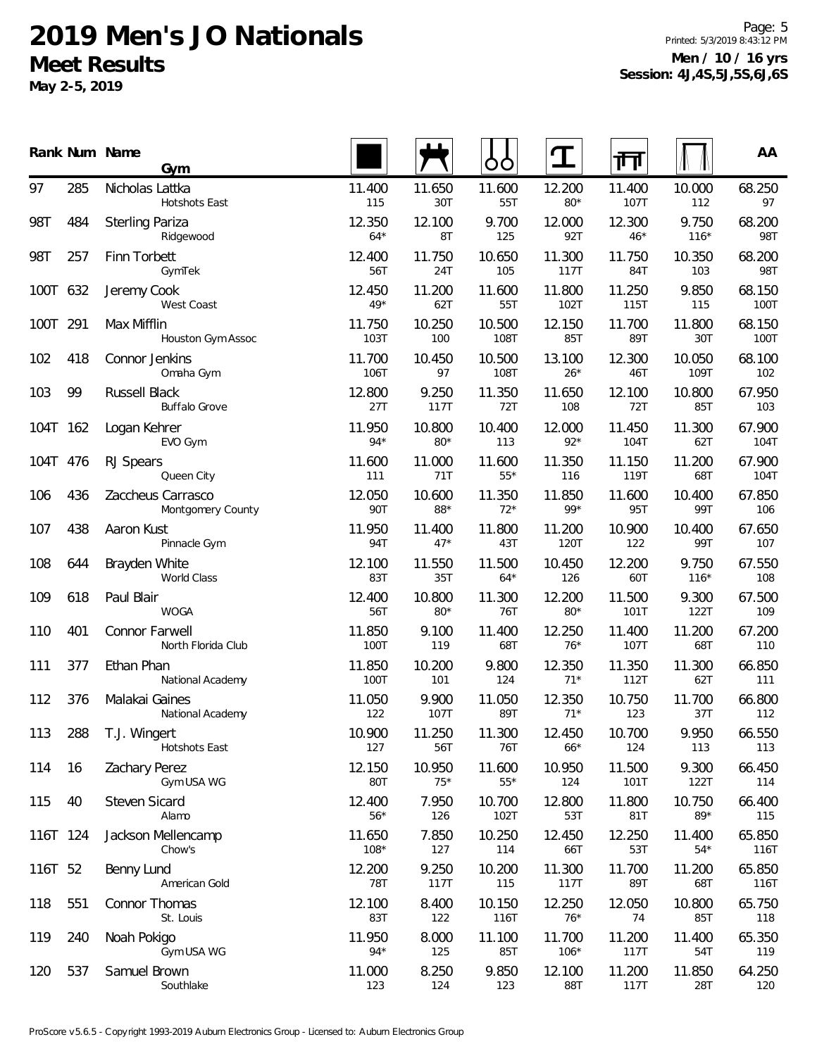**May 2-5, 2019**

Page: 5 Printed: 5/3/2019 8:43:12 PM **Men / 10 / 16 yrs Session: 4J,4S,5J,5S,6J,6S**

|          |     | Rank Num Name<br>Gym                   |                  |                 | OO              |                  | 帀               |                 | AA             |
|----------|-----|----------------------------------------|------------------|-----------------|-----------------|------------------|-----------------|-----------------|----------------|
| 97       | 285 | Nicholas Lattka<br>Hotshots East       | 11.400<br>115    | 11.650<br>30T   | 11.600<br>55T   | 12.200<br>$80*$  | 11.400<br>107T  | 10.000<br>112   | 68.250<br>97   |
| 98T      | 484 | <b>Sterling Pariza</b><br>Ridgewood    | 12.350<br>$64*$  | 12.100<br>8T    | 9.700<br>125    | 12.000<br>92T    | 12.300<br>$46*$ | 9.750<br>$116*$ | 68.200<br>98T  |
| 98T      | 257 | Finn Torbett<br>GymTek                 | 12.400<br>56T    | 11.750<br>24T   | 10.650<br>105   | 11.300<br>117T   | 11.750<br>84T   | 10.350<br>103   | 68.200<br>98T  |
| 100T 632 |     | Jeremy Cook<br>West Coast              | 12.450<br>$49*$  | 11.200<br>62T   | 11.600<br>55T   | 11.800<br>102T   | 11.250<br>115T  | 9.850<br>115    | 68.150<br>100T |
| 100T 291 |     | Max Mifflin<br>Houston Gym Assoc       | 11.750<br>103T   | 10.250<br>100   | 10.500<br>108T  | 12.150<br>85T    | 11.700<br>89T   | 11.800<br>30T   | 68.150<br>100T |
| 102      | 418 | Connor Jenkins<br>Omaha Gym            | 11.700<br>106T   | 10.450<br>97    | 10.500<br>108T  | 13.100<br>$26*$  | 12.300<br>46T   | 10.050<br>109T  | 68.100<br>102  |
| 103      | 99  | Russell Black<br><b>Buffalo Grove</b>  | 12.800<br>27T    | 9.250<br>117T   | 11.350<br>72T   | 11.650<br>108    | 12.100<br>72T   | 10.800<br>85T   | 67.950<br>103  |
| 104T 162 |     | Logan Kehrer<br>EVO Gym                | 11.950<br>$94*$  | 10.800<br>$80*$ | 10.400<br>113   | 12.000<br>$92*$  | 11.450<br>104T  | 11.300<br>62T   | 67.900<br>104T |
| 104T 476 |     | RJ Spears<br>Queen City                | 11.600<br>111    | 11.000<br>71T   | 11.600<br>$55*$ | 11.350<br>116    | 11.150<br>119T  | 11.200<br>68T   | 67.900<br>104T |
| 106      | 436 | Zaccheus Carrasco<br>Montgomery County | 12.050<br>90T    | 10.600<br>88*   | 11.350<br>$72*$ | 11.850<br>99*    | 11.600<br>95T   | 10.400<br>99T   | 67.850<br>106  |
| 107      | 438 | Aaron Kust<br>Pinnacle Gym             | 11.950<br>94T    | 11.400<br>$47*$ | 11.800<br>43T   | 11.200<br>120T   | 10.900<br>122   | 10.400<br>99T   | 67.650<br>107  |
| 108      | 644 | Brayden White<br>World Class           | 12.100<br>83T    | 11.550<br>35T   | 11.500<br>$64*$ | 10.450<br>126    | 12.200<br>60T   | 9.750<br>$116*$ | 67.550<br>108  |
| 109      | 618 | Paul Blair<br><b>WOGA</b>              | 12.400<br>56T    | 10.800<br>$80*$ | 11.300<br>76T   | 12.200<br>$80*$  | 11.500<br>101T  | 9.300<br>122T   | 67.500<br>109  |
| 110      | 401 | Connor Farwell<br>North Florida Club   | 11.850<br>100T   | 9.100<br>119    | 11.400<br>68T   | 12.250<br>$76*$  | 11.400<br>107T  | 11.200<br>68T   | 67.200<br>110  |
| 111      | 377 | Ethan Phan<br>National Academy         | 11.850<br>100T   | 10.200<br>101   | 9.800<br>124    | 12.350<br>$71*$  | 11.350<br>112T  | 11.300<br>62T   | 66.850<br>111  |
| 112      | 376 | Malakai Gaines<br>National Academy     | 11.050<br>122    | 9.900<br>107T   | 11.050<br>89T   | 12.350<br>$71*$  | 10.750<br>123   | 11.700<br>37T   | 66.800<br>112  |
| 113      | 288 | T.J. Wingert<br>Hotshots East          | 10.900<br>127    | 11.250<br>56T   | 11.300<br>76T   | 12.450<br>$66*$  | 10.700<br>124   | 9.950<br>113    | 66.550<br>113  |
| 114      | 16  | Zachary Perez<br>Gym USA WG            | 12.150<br>80T    | 10.950<br>$75*$ | 11.600<br>$55*$ | 10.950<br>124    | 11.500<br>101T  | 9.300<br>122T   | 66.450<br>114  |
| 115      | 40  | Steven Sicard<br>Alamo                 | 12.400<br>$56*$  | 7.950<br>126    | 10.700<br>102T  | 12.800<br>53T    | 11.800<br>81T   | 10.750<br>89*   | 66.400<br>115  |
| 116T 124 |     | Jackson Mellencamp<br>Chow's           | 11.650<br>$108*$ | 7.850<br>127    | 10.250<br>114   | 12.450<br>66T    | 12.250<br>53T   | 11.400<br>$54*$ | 65.850<br>116T |
| 116T 52  |     | Benny Lund<br>American Gold            | 12.200<br>78T    | 9.250<br>117T   | 10.200<br>115   | 11.300<br>117T   | 11.700<br>89T   | 11.200<br>68T   | 65.850<br>116T |
| 118      | 551 | Connor Thomas<br>St. Louis             | 12.100<br>83T    | 8.400<br>122    | 10.150<br>116T  | 12.250<br>$76*$  | 12.050<br>74    | 10.800<br>85T   | 65.750<br>118  |
| 119      | 240 | Noah Pokigo<br>Gym USA WG              | 11.950<br>94*    | 8.000<br>125    | 11.100<br>85T   | 11.700<br>$106*$ | 11.200<br>117T  | 11.400<br>54T   | 65.350<br>119  |
| 120      | 537 | Samuel Brown<br>Southlake              | 11.000<br>123    | 8.250<br>124    | 9.850<br>123    | 12.100<br>88T    | 11.200<br>117T  | 11.850<br>28T   | 64.250<br>120  |